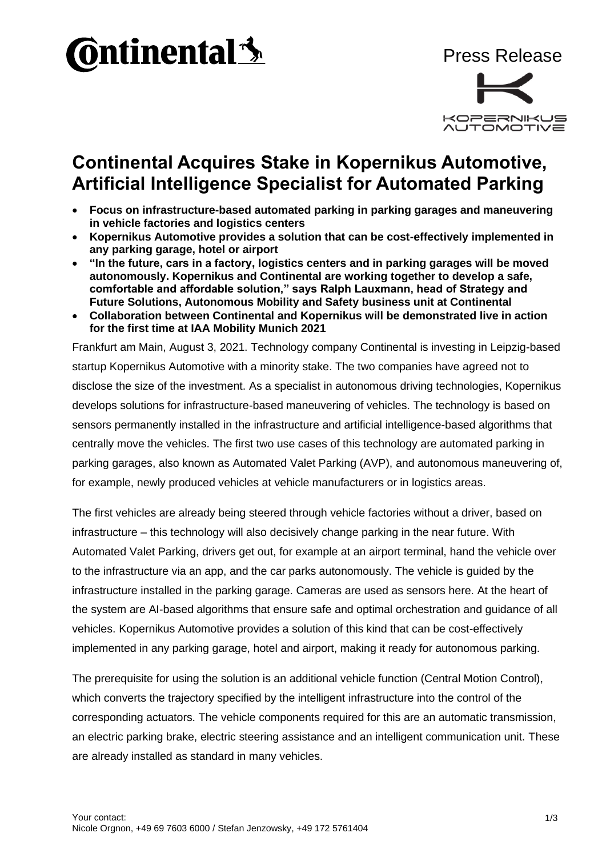



## **Continental Acquires Stake in Kopernikus Automotive, Artificial Intelligence Specialist for Automated Parking**

- **Focus on infrastructure-based automated parking in parking garages and maneuvering in vehicle factories and logistics centers**
- **Kopernikus Automotive provides a solution that can be cost-effectively implemented in any parking garage, hotel or airport**
- **"In the future, cars in a factory, logistics centers and in parking garages will be moved autonomously. Kopernikus and Continental are working together to develop a safe, comfortable and affordable solution," says Ralph Lauxmann, head of Strategy and Future Solutions, Autonomous Mobility and Safety business unit at Continental**
- **Collaboration between Continental and Kopernikus will be demonstrated live in action for the first time at IAA Mobility Munich 2021**

Frankfurt am Main, August 3, 2021. Technology company Continental is investing in Leipzig-based startup Kopernikus Automotive with a minority stake. The two companies have agreed not to disclose the size of the investment. As a specialist in autonomous driving technologies, Kopernikus develops solutions for infrastructure-based maneuvering of vehicles. The technology is based on sensors permanently installed in the infrastructure and artificial intelligence-based algorithms that centrally move the vehicles. The first two use cases of this technology are automated parking in parking garages, also known as Automated Valet Parking (AVP), and autonomous maneuvering of, for example, newly produced vehicles at vehicle manufacturers or in logistics areas.

The first vehicles are already being steered through vehicle factories without a driver, based on infrastructure – this technology will also decisively change parking in the near future. With Automated Valet Parking, drivers get out, for example at an airport terminal, hand the vehicle over to the infrastructure via an app, and the car parks autonomously. The vehicle is guided by the infrastructure installed in the parking garage. Cameras are used as sensors here. At the heart of the system are AI-based algorithms that ensure safe and optimal orchestration and guidance of all vehicles. Kopernikus Automotive provides a solution of this kind that can be cost-effectively implemented in any parking garage, hotel and airport, making it ready for autonomous parking.

The prerequisite for using the solution is an additional vehicle function (Central Motion Control), which converts the trajectory specified by the intelligent infrastructure into the control of the corresponding actuators. The vehicle components required for this are an automatic transmission, an electric parking brake, electric steering assistance and an intelligent communication unit. These are already installed as standard in many vehicles.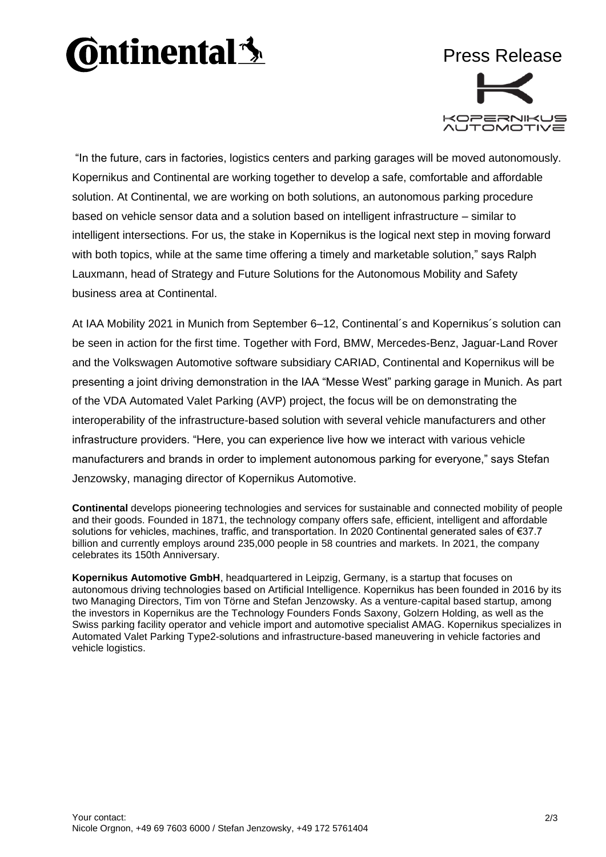## **Ontinental3**



"In the future, cars in factories, logistics centers and parking garages will be moved autonomously. Kopernikus and Continental are working together to develop a safe, comfortable and affordable solution. At Continental, we are working on both solutions, an autonomous parking procedure based on vehicle sensor data and a solution based on intelligent infrastructure – similar to intelligent intersections. For us, the stake in Kopernikus is the logical next step in moving forward with both topics, while at the same time offering a timely and marketable solution," says Ralph Lauxmann, head of Strategy and Future Solutions for the Autonomous Mobility and Safety business area at Continental.

At IAA Mobility 2021 in Munich from September 6–12, Continental´s and Kopernikus´s solution can be seen in action for the first time. Together with Ford, BMW, Mercedes-Benz, Jaguar-Land Rover and the Volkswagen Automotive software subsidiary CARIAD, Continental and Kopernikus will be presenting a joint driving demonstration in the IAA "Messe West" parking garage in Munich. As part of the VDA Automated Valet Parking (AVP) project, the focus will be on demonstrating the interoperability of the infrastructure-based solution with several vehicle manufacturers and other infrastructure providers. "Here, you can experience live how we interact with various vehicle manufacturers and brands in order to implement autonomous parking for everyone," says Stefan Jenzowsky, managing director of Kopernikus Automotive.

**Continental** develops pioneering technologies and services for sustainable and connected mobility of people and their goods. Founded in 1871, the technology company offers safe, efficient, intelligent and affordable solutions for vehicles, machines, traffic, and transportation. In 2020 Continental generated sales of €37.7 billion and currently employs around 235,000 people in 58 countries and markets. In 2021, the company celebrates its 150th Anniversary.

**Kopernikus Automotive GmbH**, headquartered in Leipzig, Germany, is a startup that focuses on autonomous driving technologies based on Artificial Intelligence. Kopernikus has been founded in 2016 by its two Managing Directors, Tim von Törne and Stefan Jenzowsky. As a venture-capital based startup, among the investors in Kopernikus are the Technology Founders Fonds Saxony, Golzern Holding, as well as the Swiss parking facility operator and vehicle import and automotive specialist AMAG. Kopernikus specializes in Automated Valet Parking Type2-solutions and infrastructure-based maneuvering in vehicle factories and vehicle logistics.